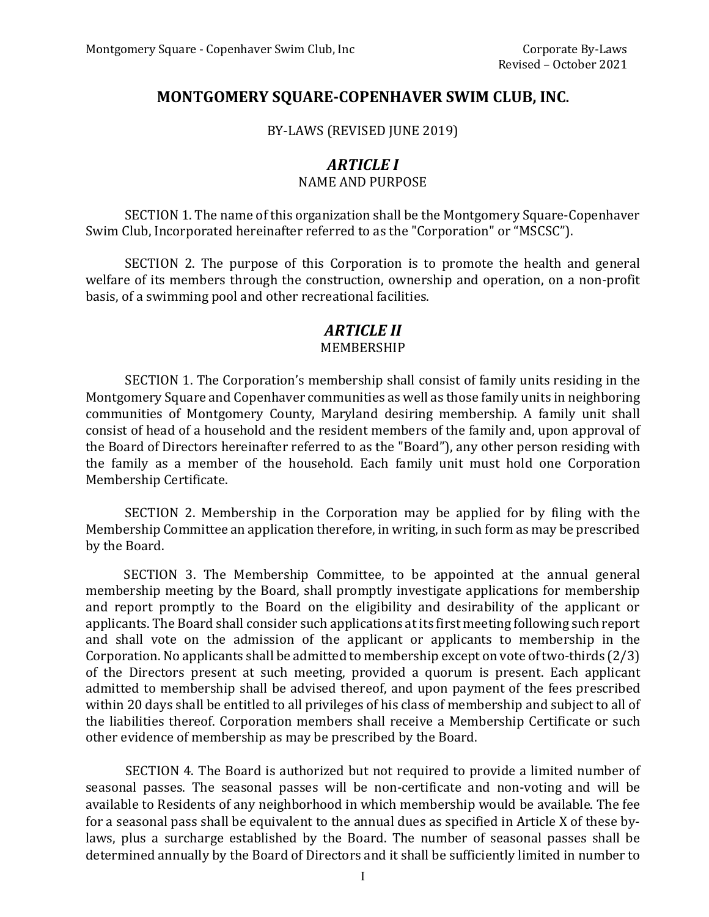## **MONTGOMERY SQUARE-COPENHAVER SWIM CLUB, INC.**

BY-LAWS (REVISED JUNE 2019)

## *ARTICLE I* NAME AND PURPOSE

SECTION 1. The name of this organization shall be the Montgomery Square-Copenhaver Swim Club, Incorporated hereinafter referred to as the "Corporation" or "MSCSC").

SECTION 2. The purpose of this Corporation is to promote the health and general welfare of its members through the construction, ownership and operation, on a non-profit basis, of a swimming pool and other recreational facilities.

# *ARTICLE II*

## MEMBERSHIP

SECTION 1. The Corporation's membership shall consist of family units residing in the Montgomery Square and Copenhaver communities as well as those family units in neighboring communities of Montgomery County, Maryland desiring membership. A family unit shall consist of head of a household and the resident members of the family and, upon approval of the Board of Directors hereinafter referred to as the "Board"), any other person residing with the family as a member of the household. Each family unit must hold one Corporation Membership Certificate.

SECTION 2. Membership in the Corporation may be applied for by filing with the Membership Committee an application therefore, in writing, in such form as may be prescribed by the Board.

SECTION 3. The Membership Committee, to be appointed at the annual general membership meeting by the Board, shall promptly investigate applications for membership and report promptly to the Board on the eligibility and desirability of the applicant or applicants. The Board shall consider such applications at its first meeting following such report and shall vote on the admission of the applicant or applicants to membership in the Corporation. No applicants shall be admitted to membership except on vote of two-thirds (2/3) of the Directors present at such meeting, provided a quorum is present. Each applicant admitted to membership shall be advised thereof, and upon payment of the fees prescribed within 20 days shall be entitled to all privileges of his class of membership and subject to all of the liabilities thereof. Corporation members shall receive a Membership Certificate or such other evidence of membership as may be prescribed by the Board.

SECTION 4. The Board is authorized but not required to provide a limited number of seasonal passes. The seasonal passes will be non-certificate and non-voting and will be available to Residents of any neighborhood in which membership would be available. The fee for a seasonal pass shall be equivalent to the annual dues as specified in Article X of these bylaws, plus a surcharge established by the Board. The number of seasonal passes shall be determined annually by the Board of Directors and it shall be sufficiently limited in number to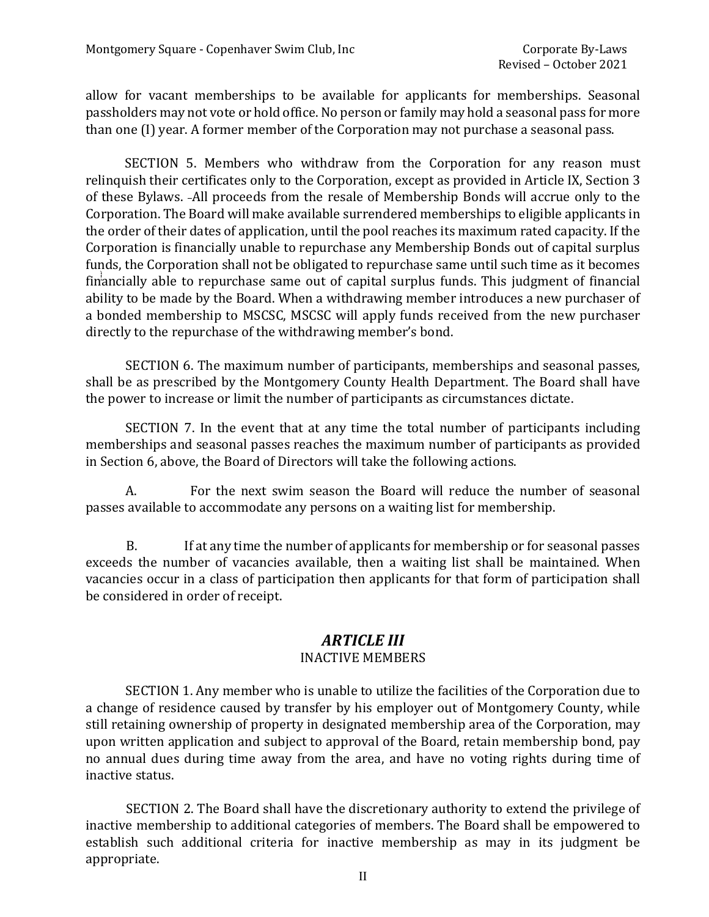allow for vacant memberships to be available for applicants for memberships. Seasonal passholders may not vote or hold office. No person or family may hold a seasonal pass for more than one (I) year. A former member of the Corporation may not purchase a seasonal pass.

SECTION 5. Members who withdraw from the Corporation for any reason must relinquish their certificates only to the Corporation, except as provided in Article IX, Section 3 of these Bylaws. All proceeds from the resale of Membership Bonds will accrue only to the Corporation. The Board will make available surrendered memberships to eligible applicants in the order of their dates of application, until the pool reaches its maximum rated capacity. If the Corporation is financially unable to repurchase any Membership Bonds out of capital surplus funds, the Corporation shall not be obligated to repurchase same until such time as it becomes financially able to repurchase same out of capital surplus funds. This judgment of financial ability to be made by the Board. When a withdrawing member introduces a new purchaser of a bonded membership to MSCSC, MSCSC will apply funds received from the new purchaser directly to the repurchase of the withdrawing member's bond.

SECTION 6. The maximum number of participants, memberships and seasonal passes, shall be as prescribed by the Montgomery County Health Department. The Board shall have the power to increase or limit the number of participants as circumstances dictate.

SECTION 7. In the event that at any time the total number of participants including memberships and seasonal passes reaches the maximum number of participants as provided in Section 6, above, the Board of Directors will take the following actions.

A. For the next swim season the Board will reduce the number of seasonal passes available to accommodate any persons on a waiting list for membership.

B. If at any time the number of applicants for membership or for seasonal passes exceeds the number of vacancies available, then a waiting list shall be maintained. When vacancies occur in a class of participation then applicants for that form of participation shall be considered in order of receipt.

#### *ARTICLE III* INACTIVE MEMBERS

SECTION 1. Any member who is unable to utilize the facilities of the Corporation due to a change of residence caused by transfer by his employer out of Montgomery County, while still retaining ownership of property in designated membership area of the Corporation, may upon written application and subject to approval of the Board, retain membership bond, pay no annual dues during time away from the area, and have no voting rights during time of inactive status.

SECTION 2. The Board shall have the discretionary authority to extend the privilege of inactive membership to additional categories of members. The Board shall be empowered to establish such additional criteria for inactive membership as may in its judgment be appropriate.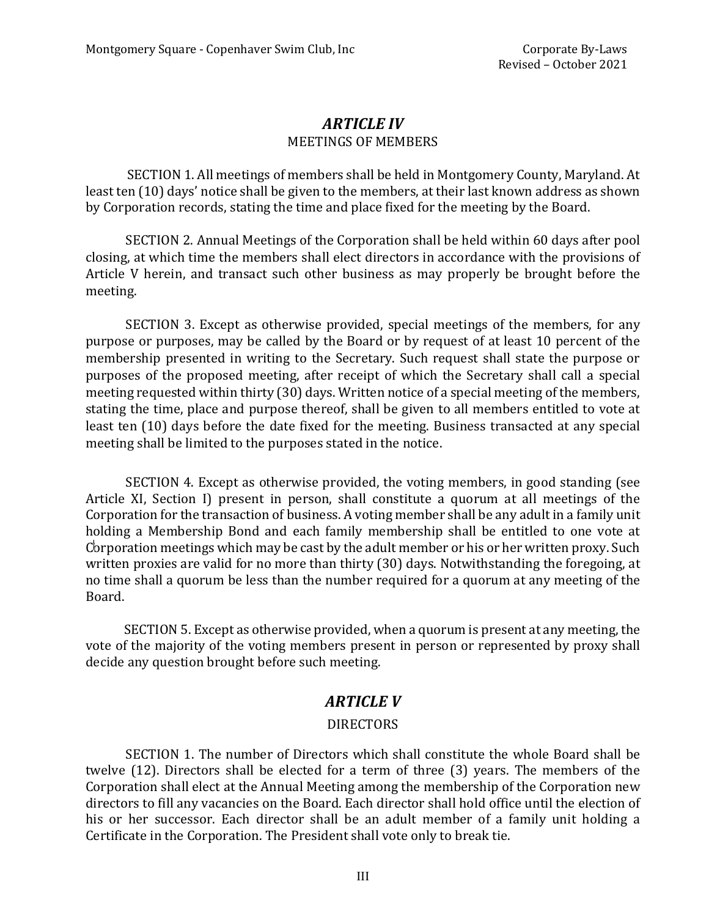#### *ARTICLE IV* MEETINGS OF MEMBERS

SECTION 1. All meetings of members shall be held in Montgomery County, Maryland. At least ten (10) days' notice shall be given to the members, at their last known address as shown by Corporation records, stating the time and place fixed for the meeting by the Board.

SECTION 2. Annual Meetings of the Corporation shall be held within 60 days after pool closing, at which time the members shall elect directors in accordance with the provisions of Article V herein, and transact such other business as may properly be brought before the meeting.

SECTION 3. Except as otherwise provided, special meetings of the members, for any purpose or purposes, may be called by the Board or by request of at least 10 percent of the membership presented in writing to the Secretary. Such request shall state the purpose or purposes of the proposed meeting, after receipt of which the Secretary shall call a special meeting requested within thirty (30) days. Written notice of a special meeting of the members, stating the time, place and purpose thereof, shall be given to all members entitled to vote at least ten (10) days before the date fixed for the meeting. Business transacted at any special meeting shall be limited to the purposes stated in the notice.

SECTION 4. Except as otherwise provided, the voting members, in good standing (see Article XI, Section I) present in person, shall constitute a quorum at all meetings of the Corporation for the transaction of business. A voting member shall be any adult in a family unit holding a Membership Bond and each family membership shall be entitled to one vote at Corporation meetings which may be cast by the adult member or his or her written proxy. Such written proxies are valid for no more than thirty (30) days. Notwithstanding the foregoing, at no time shall a quorum be less than the number required for a quorum at any meeting of the Board.

SECTION 5. Except as otherwise provided, when a quorum is present at any meeting, the vote of the majority of the voting members present in person or represented by proxy shall decide any question brought before such meeting.

#### *ARTICLE V*

#### DIRECTORS

SECTION 1. The number of Directors which shall constitute the whole Board shall be twelve (12). Directors shall be elected for a term of three (3) years. The members of the Corporation shall elect at the Annual Meeting among the membership of the Corporation new directors to fill any vacancies on the Board. Each director shall hold office until the election of his or her successor. Each director shall be an adult member of a family unit holding a Certificate in the Corporation. The President shall vote only to break tie.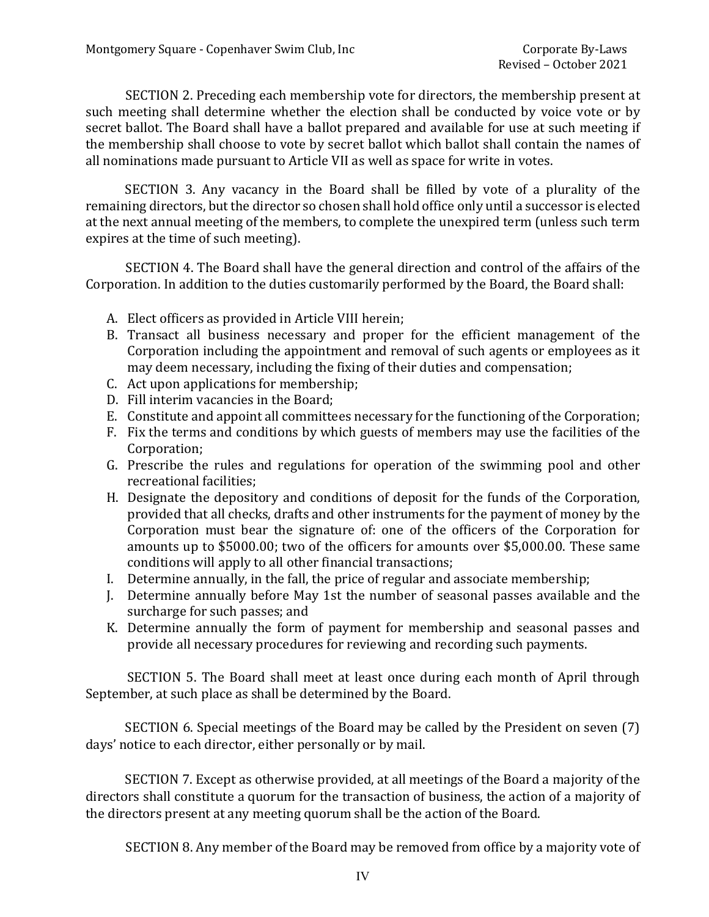SECTION 2. Preceding each membership vote for directors, the membership present at such meeting shall determine whether the election shall be conducted by voice vote or by secret ballot. The Board shall have a ballot prepared and available for use at such meeting if the membership shall choose to vote by secret ballot which ballot shall contain the names of all nominations made pursuant to Article VII as well as space for write in votes.

SECTION 3. Any vacancy in the Board shall be filled by vote of a plurality of the remaining directors, but the director so chosen shall hold office only until a successor is elected at the next annual meeting of the members, to complete the unexpired term (unless such term expires at the time of such meeting).

SECTION 4. The Board shall have the general direction and control of the affairs of the Corporation. In addition to the duties customarily performed by the Board, the Board shall:

- A. Elect officers as provided in Article VIII herein;
- B. Transact all business necessary and proper for the efficient management of the Corporation including the appointment and removal of such agents or employees as it may deem necessary, including the fixing of their duties and compensation;
- C. Act upon applications for membership;
- D. Fill interim vacancies in the Board;
- E. Constitute and appoint all committees necessary for the functioning of the Corporation;
- F. Fix the terms and conditions by which guests of members may use the facilities of the Corporation;
- G. Prescribe the rules and regulations for operation of the swimming pool and other recreational facilities;
- H. Designate the depository and conditions of deposit for the funds of the Corporation, provided that all checks, drafts and other instruments for the payment of money by the Corporation must bear the signature of: one of the officers of the Corporation for amounts up to \$5000.00; two of the officers for amounts over \$5,000.00. These same conditions will apply to all other financial transactions;
- I. Determine annually, in the fall, the price of regular and associate membership;
- J. Determine annually before May 1st the number of seasonal passes available and the surcharge for such passes; and
- K. Determine annually the form of payment for membership and seasonal passes and provide all necessary procedures for reviewing and recording such payments.

SECTION 5. The Board shall meet at least once during each month of April through September, at such place as shall be determined by the Board.

SECTION 6. Special meetings of the Board may be called by the President on seven (7) days' notice to each director, either personally or by mail.

SECTION 7. Except as otherwise provided, at all meetings of the Board a majority of the directors shall constitute a quorum for the transaction of business, the action of a majority of the directors present at any meeting quorum shall be the action of the Board.

SECTION 8. Any member of the Board may be removed from office by a majority vote of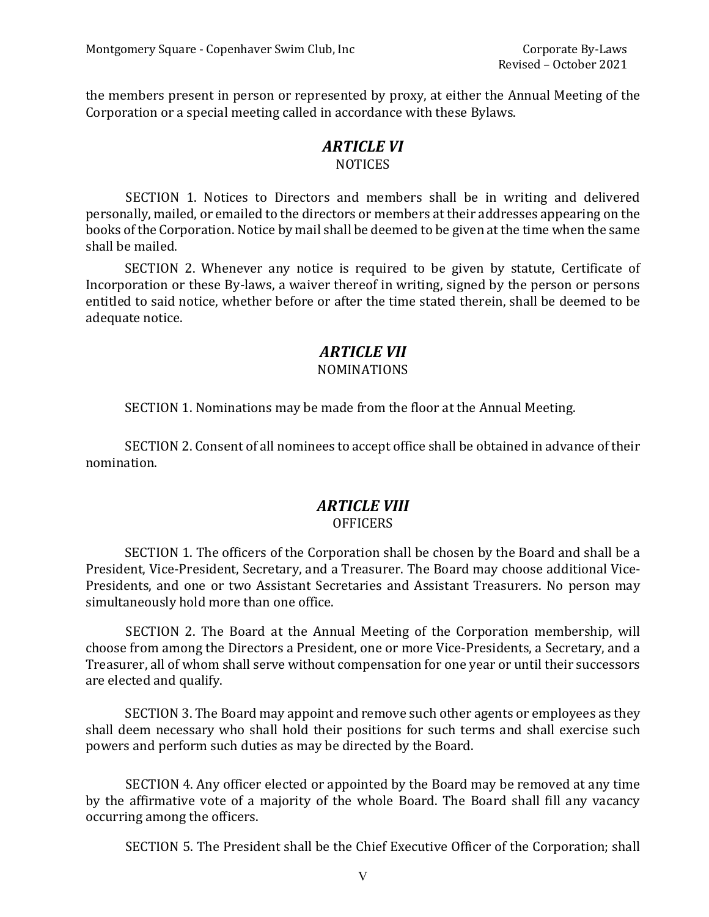the members present in person or represented by proxy, at either the Annual Meeting of the Corporation or a special meeting called in accordance with these Bylaws.

#### *ARTICLE VI* **NOTICES**

SECTION 1. Notices to Directors and members shall be in writing and delivered personally, mailed, or emailed to the directors or members at their addresses appearing on the books of the Corporation. Notice by mail shall be deemed to be given at the time when the same shall be mailed.

SECTION 2. Whenever any notice is required to be given by statute, Certificate of Incorporation or these By-laws, a waiver thereof in writing, signed by the person or persons entitled to said notice, whether before or after the time stated therein, shall be deemed to be adequate notice.

# *ARTICLE VII*

#### NOMINATIONS

SECTION 1. Nominations may be made from the floor at the Annual Meeting.

SECTION 2. Consent of all nominees to accept office shall be obtained in advance of their nomination.

#### *ARTICLE VIII* **OFFICERS**

SECTION 1. The officers of the Corporation shall be chosen by the Board and shall be a President, Vice-President, Secretary, and a Treasurer. The Board may choose additional Vice-Presidents, and one or two Assistant Secretaries and Assistant Treasurers. No person may simultaneously hold more than one office.

SECTION 2. The Board at the Annual Meeting of the Corporation membership, will choose from among the Directors a President, one or more Vice-Presidents, a Secretary, and a Treasurer, all of whom shall serve without compensation for one year or until their successors are elected and qualify.

SECTION 3. The Board may appoint and remove such other agents or employees as they shall deem necessary who shall hold their positions for such terms and shall exercise such powers and perform such duties as may be directed by the Board.

SECTION 4. Any officer elected or appointed by the Board may be removed at any time by the affirmative vote of a majority of the whole Board. The Board shall fill any vacancy occurring among the officers.

SECTION 5. The President shall be the Chief Executive Officer of the Corporation; shall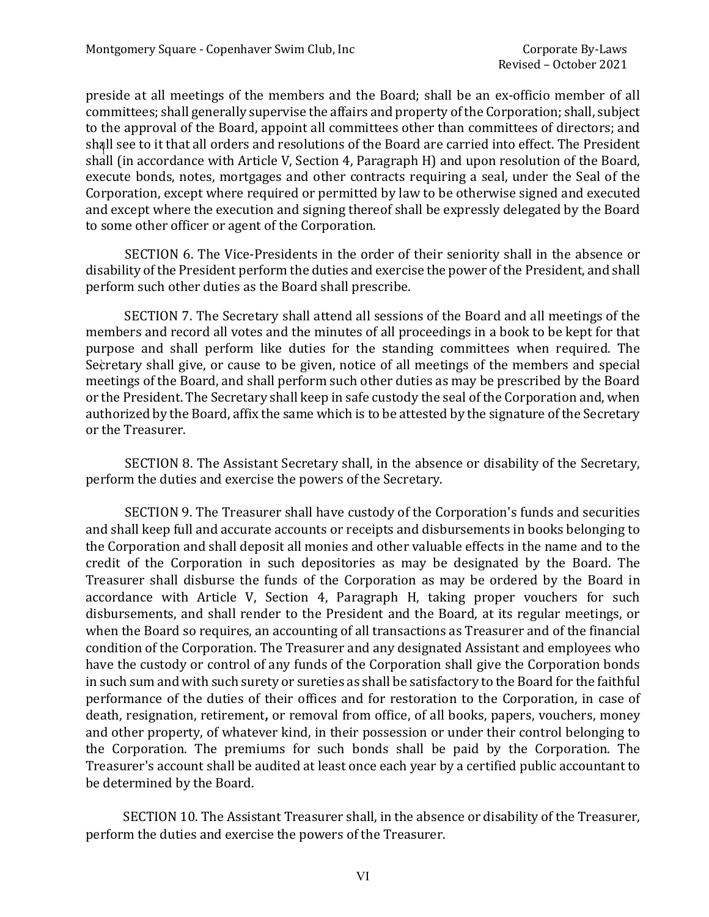preside at all meetings of the members and the Board; shall be an ex-officio member of all committees; shall generally supervise the affairs and property of the Corporation; shall, subject to the approval of the Board, appoint all committees other than committees of directors; and shall see to it that all orders and resolutions of the Board are carried into effect. The President shall (in accordance with Article V, Section 4, Paragraph H) and upon resolution of the Board, execute bonds, notes, mortgages and other contracts requiring a seal, under the Seal of the Corporation, except where required or permitted by law to be otherwise signed and executed and except where the execution and signing thereof shall be expressly delegated by the Board to some other officer or agent of the Corporation.

SECTION 6. The Vice-Presidents in the order of their seniority shall in the absence or disability of the President perform the duties and exercise the power of the President, and shall perform such other duties as the Board shall prescribe.

SECTION 7. The Secretary shall attend all sessions of the Board and all meetings of the members and record all votes and the minutes of all proceedings in a book to be kept for that purpose and shall perform like duties for the standing committees when required. The Secretary shall give, or cause to be given, notice of all meetings of the members and special meetings of the Board, and shall perform such other duties as may be prescribed by the Board or the President. The Secretary shall keep in safe custody the seal of the Corporation and, when authorized by the Board, affix the same which is to be attested by the signature of the Secretary or the Treasurer.

SECTION 8. The Assistant Secretary shall, in the absence or disability of the Secretary, perform the duties and exercise the powers of the Secretary.

SECTION 9. The Treasurer shall have custody of the Corporation's funds and securities and shall keep full and accurate accounts or receipts and disbursements in books belonging to the Corporation and shall deposit all monies and other valuable effects in the name and to the credit of the Corporation in such depositories as may be designated by the Board. The Treasurer shall disburse the funds of the Corporation as may be ordered by the Board in accordance with Article V, Section 4, Paragraph H, taking proper vouchers for such disbursements, and shall render to the President and the Board, at its regular meetings, or when the Board so requires, an accounting of all transactions as Treasurer and of the financial condition of the Corporation. The Treasurer and any designated Assistant and employees who have the custody or control of any funds of the Corporation shall give the Corporation bonds in such sum and with such surety or sureties as shall be satisfactory to the Board for the faithful performance of the duties of their offices and for restoration to the Corporation, in case of death, resignation, retirement**,** or removal from office, of all books, papers, vouchers, money and other property, of whatever kind, in their possession or under their control belonging to the Corporation. The premiums for such bonds shall be paid by the Corporation. The Treasurer's account shall be audited at least once each year by a certified public accountant to be determined by the Board.

SECTION 10. The Assistant Treasurer shall, in the absence or disability of the Treasurer, perform the duties and exercise the powers of the Treasurer.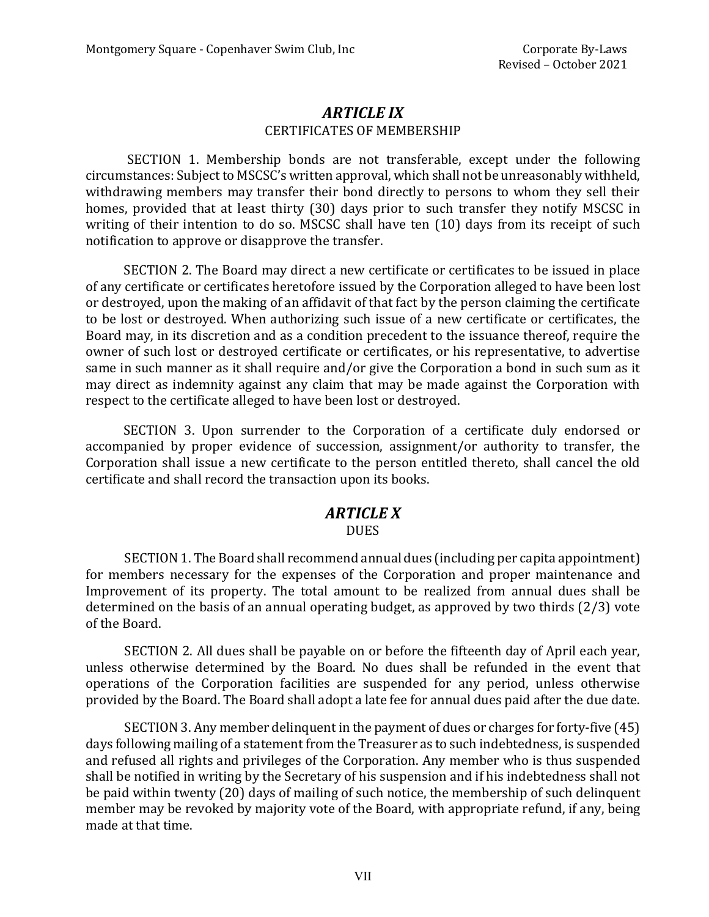## *ARTICLE IX* CERTIFICATES OF MEMBERSHIP

SECTION 1. Membership bonds are not transferable, except under the following circumstances: Subject to MSCSC's written approval, which shall not be unreasonably withheld, withdrawing members may transfer their bond directly to persons to whom they sell their homes, provided that at least thirty (30) days prior to such transfer they notify MSCSC in writing of their intention to do so. MSCSC shall have ten (10) days from its receipt of such notification to approve or disapprove the transfer.

SECTION 2. The Board may direct a new certificate or certificates to be issued in place of any certificate or certificates heretofore issued by the Corporation alleged to have been lost or destroyed, upon the making of an affidavit of that fact by the person claiming the certificate to be lost or destroyed. When authorizing such issue of a new certificate or certificates, the Board may, in its discretion and as a condition precedent to the issuance thereof, require the owner of such lost or destroyed certificate or certificates, or his representative, to advertise same in such manner as it shall require and/or give the Corporation a bond in such sum as it may direct as indemnity against any claim that may be made against the Corporation with respect to the certificate alleged to have been lost or destroyed.

SECTION 3. Upon surrender to the Corporation of a certificate duly endorsed or accompanied by proper evidence of succession, assignment/or authority to transfer, the Corporation shall issue a new certificate to the person entitled thereto, shall cancel the old certificate and shall record the transaction upon its books.

## *ARTICLE X*

#### **DUES**

SECTION 1. The Board shall recommend annual dues (including per capita appointment) for members necessary for the expenses of the Corporation and proper maintenance and Improvement of its property. The total amount to be realized from annual dues shall be determined on the basis of an annual operating budget, as approved by two thirds (2/3) vote of the Board.

SECTION 2. All dues shall be payable on or before the fifteenth day of April each year, unless otherwise determined by the Board. No dues shall be refunded in the event that operations of the Corporation facilities are suspended for any period, unless otherwise provided by the Board. The Board shall adopt a late fee for annual dues paid after the due date.

SECTION 3. Any member delinquent in the payment of dues or charges for forty-five (45) days following mailing of a statement from the Treasurer as to such indebtedness, is suspended and refused all rights and privileges of the Corporation. Any member who is thus suspended shall be notified in writing by the Secretary of his suspension and if his indebtedness shall not be paid within twenty (20) days of mailing of such notice, the membership of such delinquent member may be revoked by majority vote of the Board, with appropriate refund, if any, being made at that time.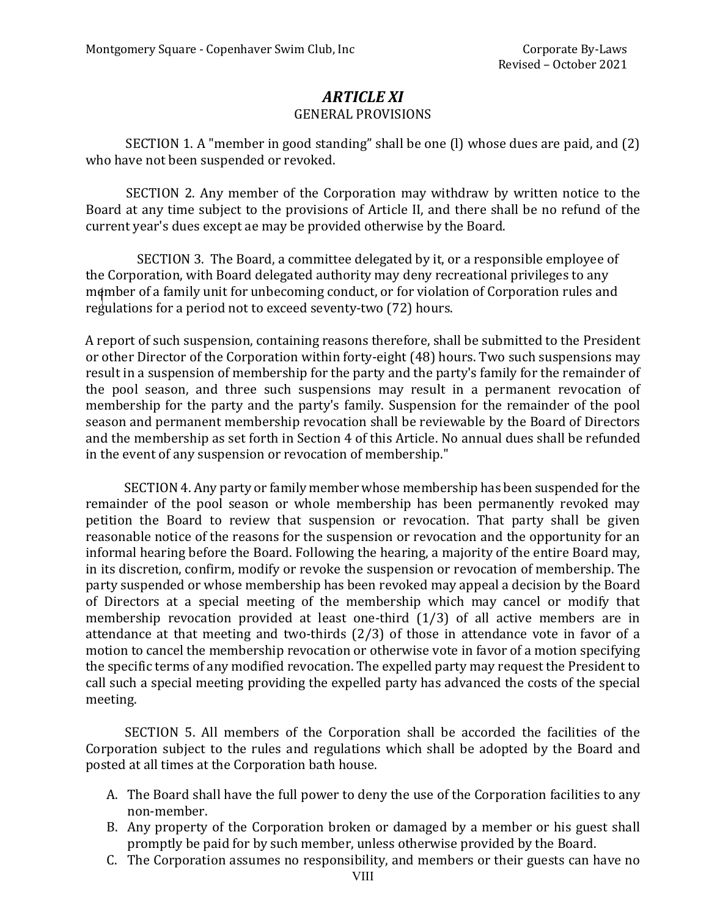# *ARTICLE XI*

#### GENERAL PROVISIONS

SECTION 1. A "member in good standing" shall be one (l) whose dues are paid, and (2) who have not been suspended or revoked.

SECTION 2. Any member of the Corporation may withdraw by written notice to the Board at any time subject to the provisions of Article II, and there shall be no refund of the current year's dues except ae may be provided otherwise by the Board.

SECTION 3. The Board, a committee delegated by it, or a responsible employee of the Corporation, with Board delegated authority may deny recreational privileges to any member of a family unit for unbecoming conduct, or for violation of Corporation rules and regulations for a period not to exceed seventy-two (72) hours.

A report of such suspension, containing reasons therefore, shall be submitted to the President or other Director of the Corporation within forty-eight (48) hours. Two such suspensions may result in a suspension of membership for the party and the party's family for the remainder of the pool season, and three such suspensions may result in a permanent revocation of membership for the party and the party's family. Suspension for the remainder of the pool season and permanent membership revocation shall be reviewable by the Board of Directors and the membership as set forth in Section 4 of this Article. No annual dues shall be refunded in the event of any suspension or revocation of membership."

SECTION 4. Any party or family member whose membership has been suspended for the remainder of the pool season or whole membership has been permanently revoked may petition the Board to review that suspension or revocation. That party shall be given reasonable notice of the reasons for the suspension or revocation and the opportunity for an informal hearing before the Board. Following the hearing, a majority of the entire Board may, in its discretion, confirm, modify or revoke the suspension or revocation of membership. The party suspended or whose membership has been revoked may appeal a decision by the Board of Directors at a special meeting of the membership which may cancel or modify that membership revocation provided at least one-third (1/3) of all active members are in attendance at that meeting and two-thirds (2/3) of those in attendance vote in favor of a motion to cancel the membership revocation or otherwise vote in favor of a motion specifying the specific terms of any modified revocation. The expelled party may request the President to call such a special meeting providing the expelled party has advanced the costs of the special meeting.

SECTION 5. All members of the Corporation shall be accorded the facilities of the Corporation subject to the rules and regulations which shall be adopted by the Board and posted at all times at the Corporation bath house.

- A. The Board shall have the full power to deny the use of the Corporation facilities to any non-member.
- B. Any property of the Corporation broken or damaged by a member or his guest shall promptly be paid for by such member, unless otherwise provided by the Board.
- C. The Corporation assumes no responsibility, and members or their guests can have no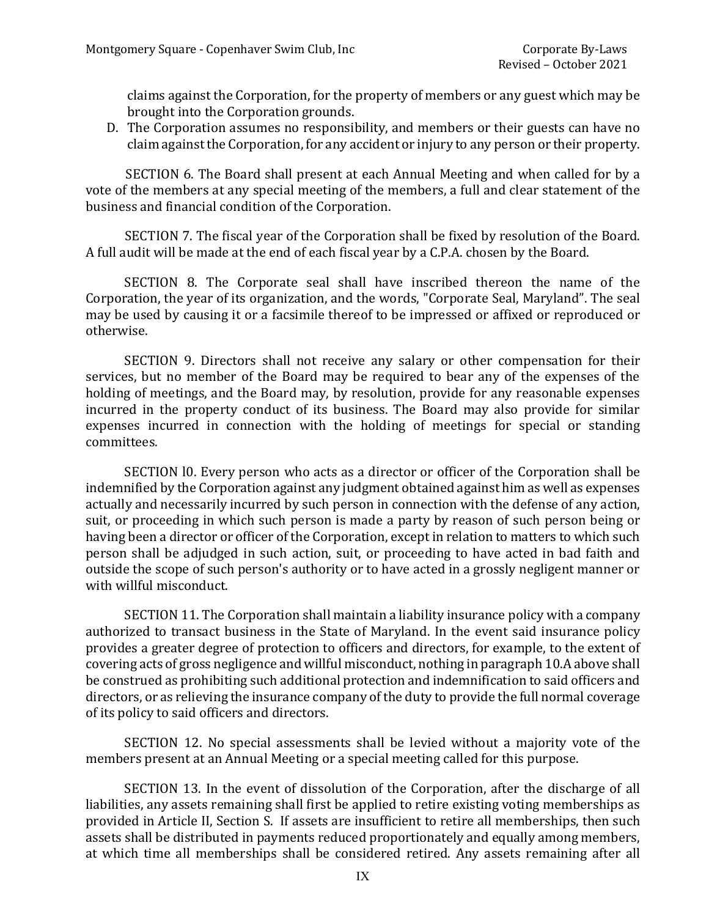claims against the Corporation, for the property of members or any guest which may be brought into the Corporation grounds.

D. The Corporation assumes no responsibility, and members or their guests can have no claim against the Corporation, for any accident or injury to any person or their property.

SECTION 6. The Board shall present at each Annual Meeting and when called for by a vote of the members at any special meeting of the members, a full and clear statement of the business and financial condition of the Corporation.

SECTION 7. The fiscal year of the Corporation shall be fixed by resolution of the Board. A full audit will be made at the end of each fiscal year by a C.P.A. chosen by the Board.

SECTION 8. The Corporate seal shall have inscribed thereon the name of the Corporation, the year of its organization, and the words, "Corporate Seal, Maryland". The seal may be used by causing it or a facsimile thereof to be impressed or affixed or reproduced or otherwise.

SECTION 9. Directors shall not receive any salary or other compensation for their services, but no member of the Board may be required to bear any of the expenses of the holding of meetings, and the Board may, by resolution, provide for any reasonable expenses incurred in the property conduct of its business. The Board may also provide for similar expenses incurred in connection with the holding of meetings for special or standing committees.

SECTION l0. Every person who acts as a director or officer of the Corporation shall be indemnified by the Corporation against any judgment obtained against him as well as expenses actually and necessarily incurred by such person in connection with the defense of any action, suit, or proceeding in which such person is made a party by reason of such person being or having been a director or officer of the Corporation, except in relation to matters to which such person shall be adjudged in such action, suit, or proceeding to have acted in bad faith and outside the scope of such person's authority or to have acted in a grossly negligent manner or with willful misconduct.

SECTION 11. The Corporation shall maintain a liability insurance policy with a company authorized to transact business in the State of Maryland. In the event said insurance policy provides a greater degree of protection to officers and directors, for example, to the extent of covering acts of gross negligence and willful misconduct, nothing in paragraph 10.A above shall be construed as prohibiting such additional protection and indemnification to said officers and directors, or as relieving the insurance company of the duty to provide the full normal coverage of its policy to said officers and directors.

SECTION 12. No special assessments shall be levied without a majority vote of the members present at an Annual Meeting or a special meeting called for this purpose.

SECTION 13. In the event of dissolution of the Corporation, after the discharge of all liabilities, any assets remaining shall first be applied to retire existing voting memberships as provided in Article II, Section S. If assets are insufficient to retire all memberships, then such assets shall be distributed in payments reduced proportionately and equally among members, at which time all memberships shall be considered retired. Any assets remaining after all